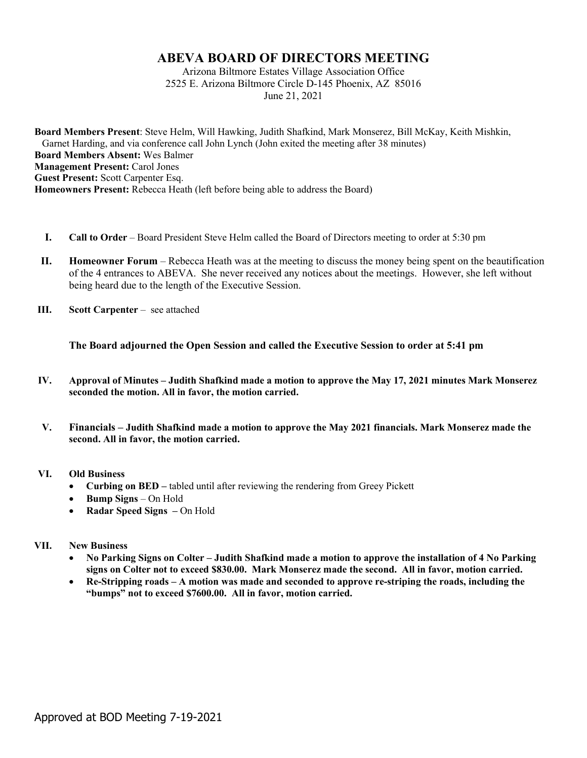## **ABEVA BOARD OF DIRECTORS MEETING**

Arizona Biltmore Estates Village Association Office 2525 E. Arizona Biltmore Circle D-145 Phoenix, AZ 85016 June 21, 2021

**Board Members Present**: Steve Helm, Will Hawking, Judith Shafkind, Mark Monserez, Bill McKay, Keith Mishkin, Garnet Harding, and via conference call John Lynch (John exited the meeting after 38 minutes) **Board Members Absent:** Wes Balmer **Management Present:** Carol Jones **Guest Present:** Scott Carpenter Esq. **Homeowners Present:** Rebecca Heath (left before being able to address the Board)

- **I. Call to Order** Board President Steve Helm called the Board of Directors meeting to order at 5:30 pm
- **II. Homeowner Forum** Rebecca Heath was at the meeting to discuss the money being spent on the beautification of the 4 entrances to ABEVA. She never received any notices about the meetings. However, she left without being heard due to the length of the Executive Session.
- **III. Scott Carpenter** see attached

**The Board adjourned the Open Session and called the Executive Session to order at 5:41 pm**

- **IV. Approval of Minutes – Judith Shafkind made a motion to approve the May 17, 2021 minutes Mark Monserez seconded the motion. All in favor, the motion carried.**
- **V. Financials – Judith Shafkind made a motion to approve the May 2021 financials. Mark Monserez made the second. All in favor, the motion carried.**

## **VI. Old Business**

- **Curbing on BED –** tabled until after reviewing the rendering from Greey Pickett
- **Bump Signs** On Hold
- **Radar Speed Signs –** On Hold

## **VII. New Business**

- **No Parking Signs on Colter – Judith Shafkind made a motion to approve the installation of 4 No Parking signs on Colter not to exceed \$830.00. Mark Monserez made the second. All in favor, motion carried.**
- **Re-Stripping roads – A motion was made and seconded to approve re-striping the roads, including the "bumps" not to exceed \$7600.00. All in favor, motion carried.**